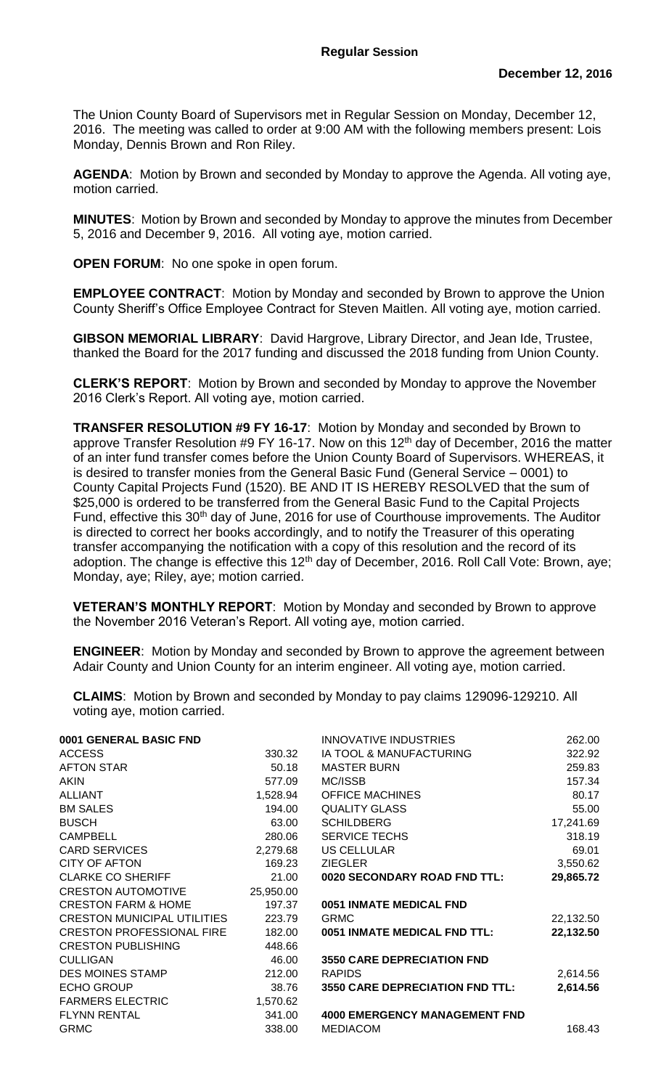The Union County Board of Supervisors met in Regular Session on Monday, December 12, 2016. The meeting was called to order at 9:00 AM with the following members present: Lois Monday, Dennis Brown and Ron Riley.

**AGENDA**: Motion by Brown and seconded by Monday to approve the Agenda. All voting aye, motion carried.

**MINUTES**: Motion by Brown and seconded by Monday to approve the minutes from December 5, 2016 and December 9, 2016. All voting aye, motion carried.

**OPEN FORUM**: No one spoke in open forum.

**EMPLOYEE CONTRACT**:Motion by Monday and seconded by Brown to approve the Union County Sheriff's Office Employee Contract for Steven Maitlen. All voting aye, motion carried.

**GIBSON MEMORIAL LIBRARY**: David Hargrove, Library Director, and Jean Ide, Trustee, thanked the Board for the 2017 funding and discussed the 2018 funding from Union County.

**CLERK'S REPORT**: Motion by Brown and seconded by Monday to approve the November 2016 Clerk's Report. All voting aye, motion carried.

**TRANSFER RESOLUTION #9 FY 16-17**: Motion by Monday and seconded by Brown to approve Transfer Resolution #9 FY 16-17. Now on this 12<sup>th</sup> day of December, 2016 the matter of an inter fund transfer comes before the Union County Board of Supervisors. WHEREAS, it is desired to transfer monies from the General Basic Fund (General Service – 0001) to County Capital Projects Fund (1520). BE AND IT IS HEREBY RESOLVED that the sum of \$25,000 is ordered to be transferred from the General Basic Fund to the Capital Projects Fund, effective this 30<sup>th</sup> day of June, 2016 for use of Courthouse improvements. The Auditor is directed to correct her books accordingly, and to notify the Treasurer of this operating transfer accompanying the notification with a copy of this resolution and the record of its adoption. The change is effective this  $12<sup>th</sup>$  day of December, 2016. Roll Call Vote: Brown, aye; Monday, aye; Riley, aye; motion carried.

**VETERAN'S MONTHLY REPORT**: Motion by Monday and seconded by Brown to approve the November 2016 Veteran's Report. All voting aye, motion carried.

**ENGINEER**: Motion by Monday and seconded by Brown to approve the agreement between Adair County and Union County for an interim engineer. All voting aye, motion carried.

**CLAIMS**: Motion by Brown and seconded by Monday to pay claims 129096-129210. All voting aye, motion carried.

|           | INNOVATIVE INDUSTRIES                  | 262.00    |
|-----------|----------------------------------------|-----------|
| 330.32    | IA TOOL & MANUFACTURING                | 322.92    |
| 50.18     | <b>MASTER BURN</b>                     | 259.83    |
| 577.09    | MC/ISSB                                | 157.34    |
| 1,528.94  | <b>OFFICE MACHINES</b>                 | 80.17     |
| 194.00    | <b>QUALITY GLASS</b>                   | 55.00     |
| 63.00     | <b>SCHILDBERG</b>                      | 17,241.69 |
| 280.06    | <b>SERVICE TECHS</b>                   | 318.19    |
| 2,279.68  | <b>US CELLULAR</b>                     | 69.01     |
| 169.23    | <b>ZIEGLER</b>                         | 3,550.62  |
| 21.00     | 0020 SECONDARY ROAD FND TTL:           | 29,865.72 |
| 25,950.00 |                                        |           |
| 197.37    | 0051 INMATE MEDICAL FND                |           |
| 223.79    | <b>GRMC</b>                            | 22,132.50 |
| 182.00    | 0051 INMATE MEDICAL FND TTL:           | 22,132.50 |
| 448.66    |                                        |           |
| 46.00     | <b>3550 CARE DEPRECIATION FND</b>      |           |
| 212.00    | <b>RAPIDS</b>                          | 2,614.56  |
| 38.76     | <b>3550 CARE DEPRECIATION FND TTL:</b> | 2,614.56  |
| 1,570.62  |                                        |           |
| 341.00    | <b>4000 EMERGENCY MANAGEMENT FND</b>   |           |
| 338.00    | <b>MEDIACOM</b>                        | 168.43    |
|           |                                        |           |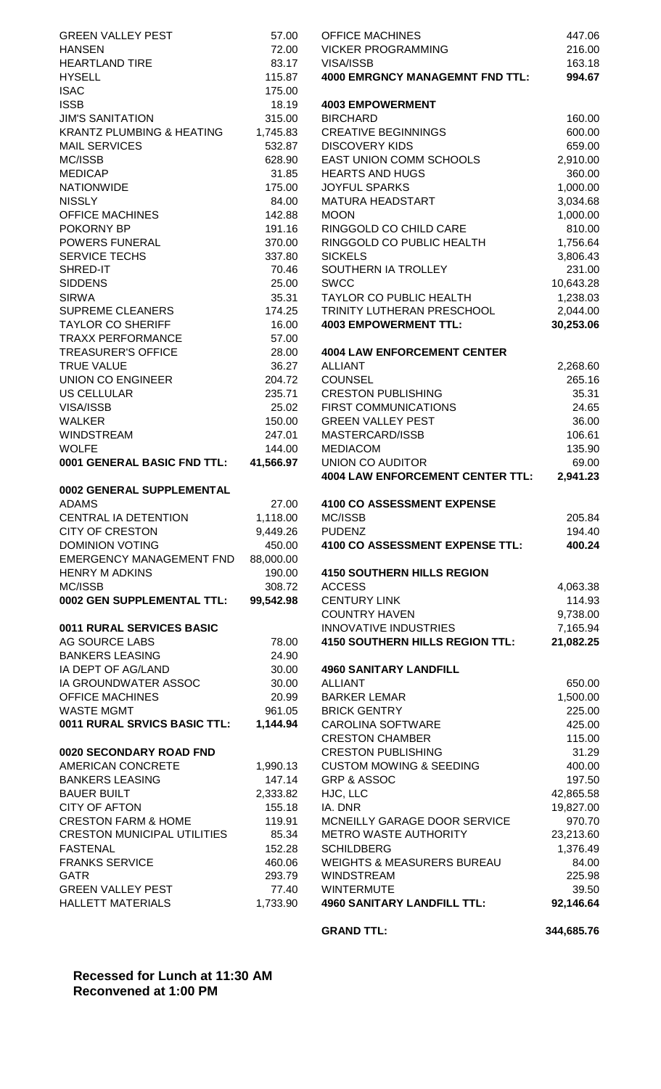| <b>GREEN VALLEY PEST</b>                             | 57.00              | <b>OFFICE MACHINES</b>                                  | 447.06             |
|------------------------------------------------------|--------------------|---------------------------------------------------------|--------------------|
| <b>HANSEN</b>                                        | 72.00              | <b>VICKER PROGRAMMING</b>                               | 216.00             |
| <b>HEARTLAND TIRE</b>                                | 83.17              | VISA/ISSB                                               | 163.18             |
| <b>HYSELL</b>                                        | 115.87             | <b>4000 EMRGNCY MANAGEMNT FND TTL:</b>                  | 994.67             |
| <b>ISAC</b>                                          | 175.00             |                                                         |                    |
| <b>ISSB</b>                                          | 18.19              | <b>4003 EMPOWERMENT</b>                                 |                    |
| <b>JIM'S SANITATION</b>                              | 315.00             | <b>BIRCHARD</b>                                         | 160.00             |
| <b>KRANTZ PLUMBING &amp; HEATING</b>                 | 1,745.83<br>532.87 | <b>CREATIVE BEGINNINGS</b>                              | 600.00             |
| <b>MAIL SERVICES</b><br>MC/ISSB                      | 628.90             | <b>DISCOVERY KIDS</b><br>EAST UNION COMM SCHOOLS        | 659.00<br>2,910.00 |
| <b>MEDICAP</b>                                       | 31.85              | <b>HEARTS AND HUGS</b>                                  | 360.00             |
| <b>NATIONWIDE</b>                                    | 175.00             | <b>JOYFUL SPARKS</b>                                    | 1,000.00           |
| <b>NISSLY</b>                                        | 84.00              | MATURA HEADSTART                                        | 3,034.68           |
| <b>OFFICE MACHINES</b>                               | 142.88             | <b>MOON</b>                                             | 1,000.00           |
| POKORNY BP                                           | 191.16             | RINGGOLD CO CHILD CARE                                  | 810.00             |
| POWERS FUNERAL                                       | 370.00             | RINGGOLD CO PUBLIC HEALTH                               | 1,756.64           |
| <b>SERVICE TECHS</b>                                 | 337.80             | <b>SICKELS</b>                                          | 3,806.43           |
| SHRED-IT                                             | 70.46              | SOUTHERN IA TROLLEY                                     | 231.00             |
| <b>SIDDENS</b>                                       | 25.00              | <b>SWCC</b>                                             | 10,643.28          |
| <b>SIRWA</b>                                         | 35.31              | TAYLOR CO PUBLIC HEALTH                                 | 1,238.03           |
| <b>SUPREME CLEANERS</b>                              | 174.25             | TRINITY LUTHERAN PRESCHOOL                              | 2,044.00           |
| <b>TAYLOR CO SHERIFF</b>                             | 16.00              | <b>4003 EMPOWERMENT TTL:</b>                            | 30,253.06          |
| <b>TRAXX PERFORMANCE</b>                             | 57.00              |                                                         |                    |
| <b>TREASURER'S OFFICE</b>                            | 28.00              | <b>4004 LAW ENFORCEMENT CENTER</b>                      |                    |
| <b>TRUE VALUE</b>                                    | 36.27              | <b>ALLIANT</b>                                          | 2,268.60           |
| <b>UNION CO ENGINEER</b>                             | 204.72             | <b>COUNSEL</b>                                          | 265.16             |
| <b>US CELLULAR</b>                                   | 235.71             | <b>CRESTON PUBLISHING</b>                               | 35.31              |
| VISA/ISSB<br><b>WALKER</b>                           | 25.02<br>150.00    | <b>FIRST COMMUNICATIONS</b><br><b>GREEN VALLEY PEST</b> | 24.65              |
| <b>WINDSTREAM</b>                                    | 247.01             | MASTERCARD/ISSB                                         | 36.00<br>106.61    |
| <b>WOLFE</b>                                         | 144.00             | <b>MEDIACOM</b>                                         | 135.90             |
| 0001 GENERAL BASIC FND TTL:                          | 41,566.97          | UNION CO AUDITOR                                        | 69.00              |
|                                                      |                    | <b>4004 LAW ENFORCEMENT CENTER TTL:</b>                 | 2,941.23           |
| 0002 GENERAL SUPPLEMENTAL                            |                    |                                                         |                    |
| <b>ADAMS</b>                                         | 27.00              | <b>4100 CO ASSESSMENT EXPENSE</b>                       |                    |
| CENTRAL IA DETENTION                                 | 1,118.00           | MC/ISSB                                                 | 205.84             |
| <b>CITY OF CRESTON</b>                               | 9,449.26           | <b>PUDENZ</b>                                           | 194.40             |
| <b>DOMINION VOTING</b>                               | 450.00             | 4100 CO ASSESSMENT EXPENSE TTL:                         | 400.24             |
| <b>EMERGENCY MANAGEMENT FND</b>                      | 88,000.00          |                                                         |                    |
| <b>HENRY M ADKINS</b>                                | 190.00             | <b>4150 SOUTHERN HILLS REGION</b>                       |                    |
| MC/ISSB                                              | 308.72             | <b>ACCESS</b>                                           | 4,063.38           |
| 0002 GEN SUPPLEMENTAL TTL:                           | 99,542.98          | <b>CENTURY LINK</b>                                     | 114.93             |
|                                                      |                    | <b>COUNTRY HAVEN</b>                                    | 9,738.00           |
| 0011 RURAL SERVICES BASIC                            |                    | <b>INNOVATIVE INDUSTRIES</b>                            | 7,165.94           |
| AG SOURCE LABS<br><b>BANKERS LEASING</b>             | 78.00<br>24.90     | <b>4150 SOUTHERN HILLS REGION TTL:</b>                  | 21,082.25          |
| IA DEPT OF AG/LAND                                   | 30.00              | <b>4960 SANITARY LANDFILL</b>                           |                    |
| IA GROUNDWATER ASSOC                                 | 30.00              | <b>ALLIANT</b>                                          | 650.00             |
| <b>OFFICE MACHINES</b>                               | 20.99              | <b>BARKER LEMAR</b>                                     | 1,500.00           |
| <b>WASTE MGMT</b>                                    | 961.05             | <b>BRICK GENTRY</b>                                     | 225.00             |
| 0011 RURAL SRVICS BASIC TTL:                         | 1,144.94           | <b>CAROLINA SOFTWARE</b>                                | 425.00             |
|                                                      |                    | <b>CRESTON CHAMBER</b>                                  | 115.00             |
| 0020 SECONDARY ROAD FND                              |                    | <b>CRESTON PUBLISHING</b>                               | 31.29              |
| AMERICAN CONCRETE                                    | 1,990.13           | <b>CUSTOM MOWING &amp; SEEDING</b>                      | 400.00             |
| <b>BANKERS LEASING</b>                               | 147.14             | GRP & ASSOC                                             | 197.50             |
| <b>BAUER BUILT</b>                                   | 2,333.82           | HJC, LLC                                                | 42,865.58          |
| <b>CITY OF AFTON</b>                                 | 155.18             | IA. DNR                                                 | 19,827.00          |
| <b>CRESTON FARM &amp; HOME</b>                       | 119.91             | MCNEILLY GARAGE DOOR SERVICE                            | 970.70             |
| <b>CRESTON MUNICIPAL UTILITIES</b>                   | 85.34              | <b>METRO WASTE AUTHORITY</b>                            | 23,213.60          |
| <b>FASTENAL</b>                                      | 152.28             | <b>SCHILDBERG</b>                                       | 1,376.49           |
| <b>FRANKS SERVICE</b>                                | 460.06             | <b>WEIGHTS &amp; MEASURERS BUREAU</b>                   | 84.00              |
| <b>GATR</b>                                          | 293.79             | <b>WINDSTREAM</b>                                       | 225.98             |
| <b>GREEN VALLEY PEST</b><br><b>HALLETT MATERIALS</b> | 77.40<br>1,733.90  | <b>WINTERMUTE</b><br><b>4960 SANITARY LANDFILL TTL:</b> | 39.50<br>92,146.64 |
|                                                      |                    |                                                         |                    |
|                                                      |                    | <b>GRAND TTL:</b>                                       | 344,685.76         |

**Recessed for Lunch at 11:30 AM Reconvened at 1:00 PM**